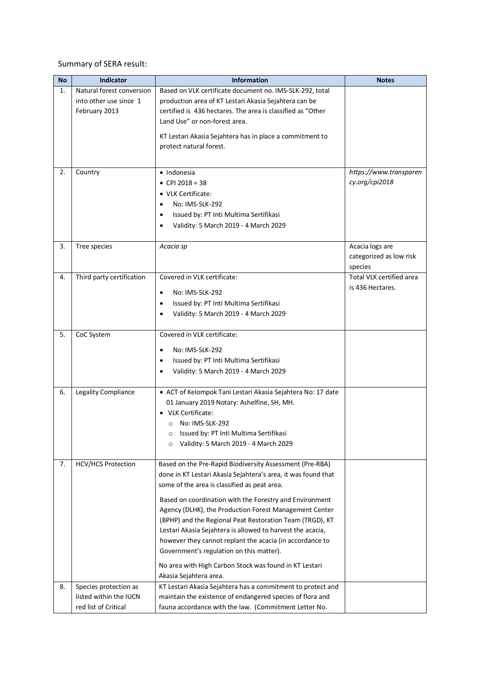Summary of SERA result:

| <b>No</b> | Indicator                 | <b>Information</b>                                                                  | <b>Notes</b>             |
|-----------|---------------------------|-------------------------------------------------------------------------------------|--------------------------|
| 1.        | Natural forest conversion | Based on VLK certificate document no. IMS-SLK-292, total                            |                          |
|           | into other use since 1    | production area of KT Lestari Akasia Sejahtera can be                               |                          |
|           | February 2013             | certified is 436 hectares. The area is classified as "Other                         |                          |
|           |                           | Land Use" or non-forest area.                                                       |                          |
|           |                           |                                                                                     |                          |
|           |                           | KT Lestari Akasia Sejahtera has in place a commitment to<br>protect natural forest. |                          |
|           |                           |                                                                                     |                          |
|           |                           |                                                                                     |                          |
| 2.        | Country                   | · Indonesia                                                                         | https://www.transparen   |
|           |                           | • CPI 2018 = 38                                                                     | cy.org/cpi2018           |
|           |                           | • VLK Certificate:                                                                  |                          |
|           |                           | No: IMS-SLK-292                                                                     |                          |
|           |                           | Issued by: PT Inti Multima Sertifikasi                                              |                          |
|           |                           | Validity: 5 March 2019 - 4 March 2029                                               |                          |
|           |                           |                                                                                     |                          |
| 3.        | Tree species              | Acacia sp                                                                           | Acacia logs are          |
|           |                           |                                                                                     | categorized as low risk  |
|           |                           |                                                                                     | species                  |
| 4.        | Third party certification | Covered in VLK certificate:                                                         | Total VLK certified area |
|           |                           | No: IMS-SLK-292                                                                     | is 436 Hectares.         |
|           |                           | Issued by: PT Inti Multima Sertifikasi<br>$\bullet$                                 |                          |
|           |                           | Validity: 5 March 2019 - 4 March 2029                                               |                          |
|           |                           |                                                                                     |                          |
| 5.        | CoC System                | Covered in VLK certificate:                                                         |                          |
|           |                           |                                                                                     |                          |
|           |                           | No: IMS-SLK-292                                                                     |                          |
|           |                           | Issued by: PT Inti Multima Sertifikasi                                              |                          |
|           |                           | Validity: 5 March 2019 - 4 March 2029                                               |                          |
| 6.        | Legality Compliance       | • ACT of Kelompok Tani Lestari Akasia Sejahtera No: 17 date                         |                          |
|           |                           | 01 January 2019 Notary: Ashelfine, SH, MH.                                          |                          |
|           |                           | • VLK Certificate:                                                                  |                          |
|           |                           | No: IMS-SLK-292<br>$\circ$                                                          |                          |
|           |                           | Issued by: PT Inti Multima Sertifikasi<br>$\Omega$                                  |                          |
|           |                           | Validity: 5 March 2019 - 4 March 2029<br>$\circ$                                    |                          |
|           |                           |                                                                                     |                          |
| 7.        | <b>HCV/HCS Protection</b> | Based on the Pre-Rapid Biodiversity Assessment (Pre-RBA)                            |                          |
|           |                           | done in KT Lestari Akasia Sejahtera's area, it was found that                       |                          |
|           |                           | some of the area is classified as peat area.                                        |                          |
|           |                           | Based on coordination with the Forestry and Environment                             |                          |
|           |                           | Agency (DLHK), the Production Forest Management Center                              |                          |
|           |                           | (BPHP) and the Regional Peat Restoration Team (TRGD), KT                            |                          |
|           |                           | Lestari Akasia Sejahtera is allowed to harvest the acacia,                          |                          |
|           |                           | however they cannot replant the acacia (in accordance to                            |                          |
|           |                           | Government's regulation on this matter).                                            |                          |
|           |                           |                                                                                     |                          |
|           |                           | No area with High Carbon Stock was found in KT Lestari                              |                          |
|           |                           | Akasia Sejahtera area.                                                              |                          |
| 8.        | Species protection as     | KT Lestari Akasia Sejahtera has a commitment to protect and                         |                          |
|           | listed within the IUCN    | maintain the existence of endangered species of flora and                           |                          |
|           | red list of Critical      | fauna accordance with the law. (Commitment Letter No.                               |                          |